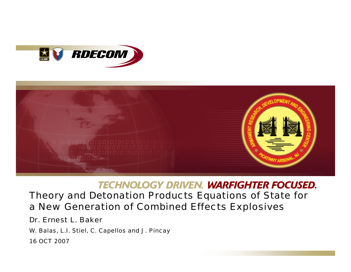



### **TECHNOLOGY DRIVEN. WARFIGHTER FOCUSED.**

### Theory and Detonation Products Equations of State for a New Generation of Combined Effects Explosives

Dr. Ernest L. Baker

W. Balas, L.I. Stiel, C. Capellos and J. Pincay

16 OCT 2007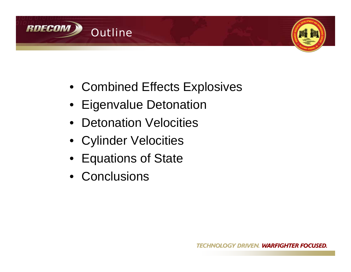



- Combined Effects Explosives
- Eigenvalue Detonation
- Detonation Velocities
- Cylinder Velocities
- Equations of State
- Conclusions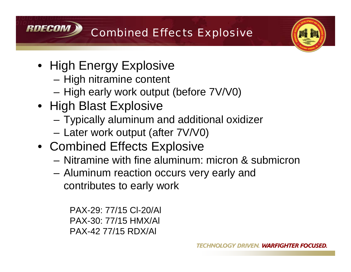



• High Energy Explosive

**RNFCOM** 

- High nitramine content
- High early work output (before 7V/V0)
- High Blast Explosive
	- Typically aluminum and additional oxidizer
	- Later work output (after 7V/V0)
- Combined Effects Explosive
	- Nitramine with fine aluminum: micron & submicron
	- Aluminum reaction occurs very early and contributes to early work

PAX-29: 77/15 Cl-20/Al PAX-30: 77/15 HMX/Al PAX-42 77/15 RDX/Al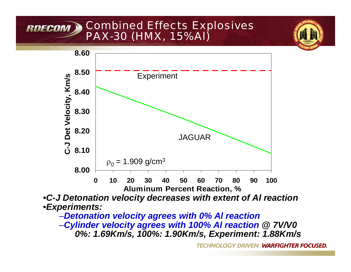# **RDECOM > Combined Effects Explosives** *PAX-30 (HMX, 15%Al)*



•*C-J Detonation velocity decreases with extent of Al reaction* •*Experiments:*

–*Detonation velocity agrees with 0% Al reaction*

–*Cylinder velocity agrees with 100% Al reaction @ 7V/V0 0%: 1.69Km/s, 100%: 1.90Km/s, Experiment: 1.88Km/s*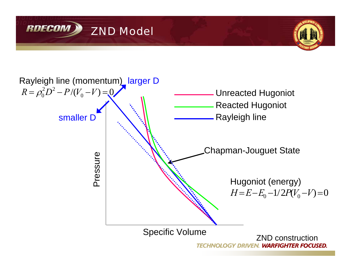



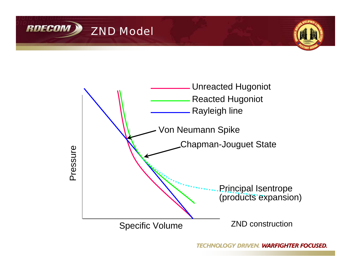



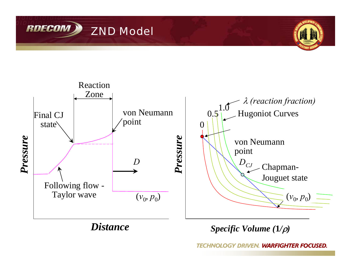





*Specific Volume (***1***/*ρ*)*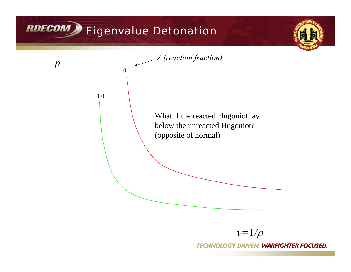# RDECOM Eigenvalue Detonation

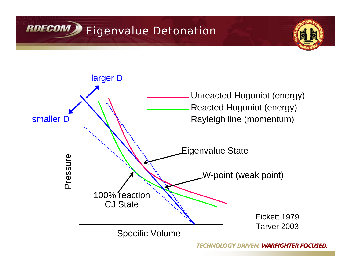



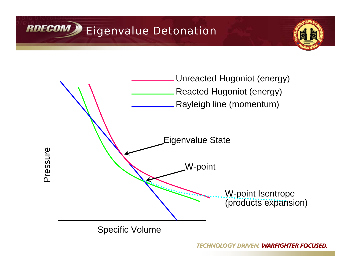





Specific Volume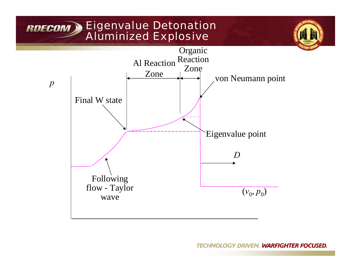# RDECOM Eigenvalue Detonation *Aluminized Explosive*

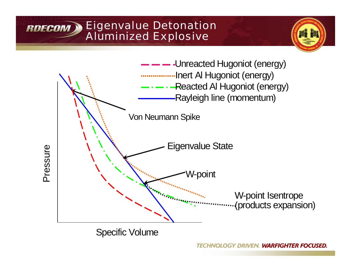### Eigenvalue Detonation **RDECOM** *Aluminized Explosive*





Specific Volume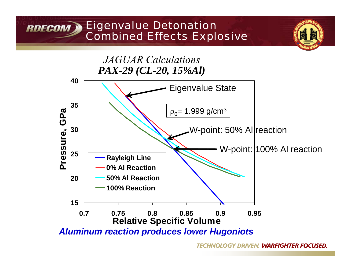#### Eigenvalue Detonation **RDECOM** *Combined Effects Explosive*

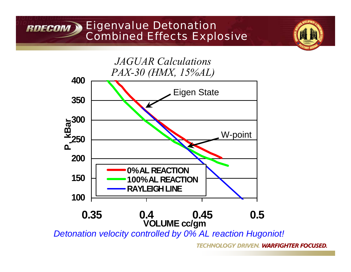#### Eigenvalue Detonation **RDECOM X** *Combined Effects Explosive*



*Detonation velocity controlled by 0% AL reaction Hugoniot!*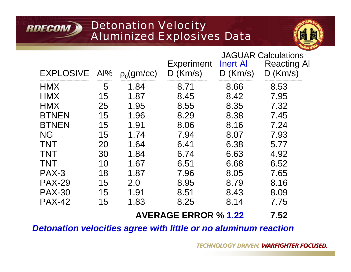## Detonation Velocity *Aluminized Explosives Data*

**RDECOM** 



|                  |     |               |                                 | <b>JAGUAR Calculations</b>    |                                  |
|------------------|-----|---------------|---------------------------------|-------------------------------|----------------------------------|
| <b>EXPLOSIVE</b> | Al% | $p_0$ (gm/cc) | <b>Experiment</b><br>$D$ (Km/s) | <b>Inert Al</b><br>$D$ (Km/s) | <b>Reacting Al</b><br>$D$ (Km/s) |
| <b>HMX</b>       | 5   | 1.84          | 8.71                            | 8.66                          | 8.53                             |
| <b>HMX</b>       | 15  | 1.87          | 8.45                            | 8.42                          | 7.95                             |
| <b>HMX</b>       | 25  | 1.95          | 8.55                            | 8.35                          | 7.32                             |
| <b>BTNEN</b>     | 15  | 1.96          | 8.29                            | 8.38                          | 7.45                             |
| <b>BTNEN</b>     | 15  | 1.91          | 8.06                            | 8.16                          | 7.24                             |
| <b>NG</b>        | 15  | 1.74          | 7.94                            | 8.07                          | 7.93                             |
| <b>TNT</b>       | 20  | 1.64          | 6.41                            | 6.38                          | 5.77                             |
| <b>TNT</b>       | 30  | 1.84          | 6.74                            | 6.63                          | 4.92                             |
| <b>TNT</b>       | 10  | 1.67          | 6.51                            | 6.68                          | 6.52                             |
| PAX-3            | 18  | 1.87          | 7.96                            | 8.05                          | 7.65                             |
| <b>PAX-29</b>    | 15  | 2.0           | 8.95                            | 8.79                          | 8.16                             |
| <b>PAX-30</b>    | 15  | 1.91          | 8.51                            | 8.43                          | 8.09                             |
| <b>PAX-42</b>    | 15  | 1.83          | 8.25                            | 8.14                          | 7.75                             |
|                  |     |               | <b>AVERAGE ERROR % 1.22</b>     |                               | 7.52                             |

*Detonation velocities agree with little or no aluminum reaction*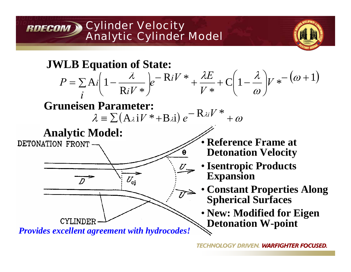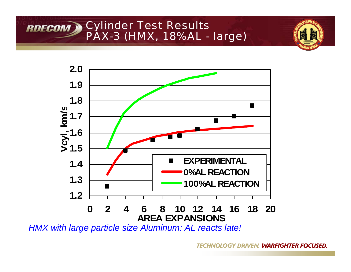



*HMX with large particle size Aluminum: AL reacts late!*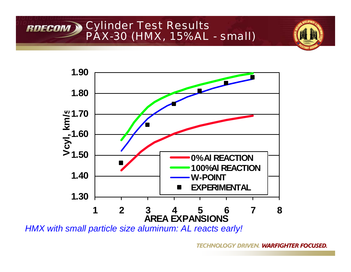





*HMX with small particle size aluminum: AL reacts early!*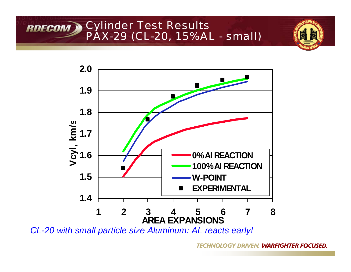



*CL-20 with small particle size Aluminum: AL reacts early!*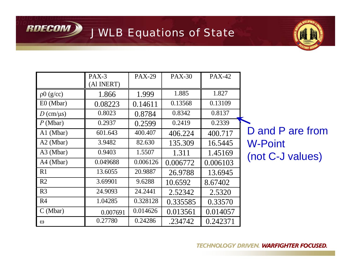RDECOM JWLB Equations of State



|                              | PAX-3<br>(Al INERT) | <b>PAX-29</b> | <b>PAX-30</b> | <b>PAX-42</b> |                  |
|------------------------------|---------------------|---------------|---------------|---------------|------------------|
| p0(g/cc)                     | 1.866               | 1.999         | 1.885         | 1.827         |                  |
| $E0$ (Mbar)                  | 0.08223             | 0.14611       | 0.13568       | 0.13109       |                  |
| $D \text{ (cm/}\mu\text{s)}$ | 0.8023              | 0.8784        | 0.8342        | 0.8137        |                  |
| P(Mbar)                      | 0.2937              | 0.2599        | 0.2419        | 0.2339        |                  |
| $A1$ (Mbar)                  | 601.643             | 400.407       | 406.224       | 400.717       | D and P are from |
| $A2$ (Mbar)                  | 3.9482              | 82.630        | 135.309       | 16.5445       | <b>W-Point</b>   |
| $A3$ (Mbar)                  | 0.9403              | 1.5507        | 1.311         | 1.45169       | (not C-J values) |
| A4 (Mbar)                    | 0.049688            | 0.006126      | 0.006772      | 0.006103      |                  |
| R1                           | 13.6055             | 20.9887       | 26.9788       | 13.6945       |                  |
| R2                           | 3.69901             | 9.6288        | 10.6592       | 8.67402       |                  |
| R <sub>3</sub>               | 24.9093             | 24.2441       | 2.52342       | 2.5320        |                  |
| R <sub>4</sub>               | 1.04285             | 0.328128      | 0.335585      | 0.33570       |                  |
| C(Mbar)                      | 0.007691            | 0.014626      | 0.013561      | 0.014057      |                  |
| $\omega$                     | 0.27780             | 0.24286       | .234742       | 0.242371      |                  |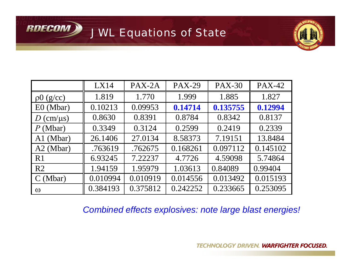JWL Equations of State

**RDECOM >** 



|                              | LX14     | PAX-2A   | <b>PAX-29</b> | <b>PAX-30</b> | <b>PAX-42</b> |
|------------------------------|----------|----------|---------------|---------------|---------------|
| p0(g/cc)                     | 1.819    | 1.770    | 1.999         | 1.885         | 1.827         |
| $E0$ (Mbar)                  | 0.10213  | 0.09953  | 0.14714       | 0.135755      | 0.12994       |
| $D \text{ (cm/}\mu\text{s)}$ | 0.8630   | 0.8391   | 0.8784        | 0.8342        | 0.8137        |
| P(Mbar)                      | 0.3349   | 0.3124   | 0.2599        | 0.2419        | 0.2339        |
| A1 (Mbar)                    | 26.1406  | 27.0134  | 8.58373       | 7.19151       | 13.8484       |
| $A2$ (Mbar)                  | .763619  | .762675  | 0.168261      | 0.097112      | 0.145102      |
| R1                           | 6.93245  | 7.22237  | 4.7726        | 4.59098       | 5.74864       |
| R <sub>2</sub>               | 1.94159  | 1.95979  | 1.03613       | 0.84089       | 0.99404       |
| C(Mbar)                      | 0.010994 | 0.010919 | 0.014556      | 0.013492      | 0.015193      |
| $\omega$                     | 0.384193 | 0.375812 | 0.242252      | 0.233665      | 0.253095      |

*Combined effects explosives: note large blast energies!*